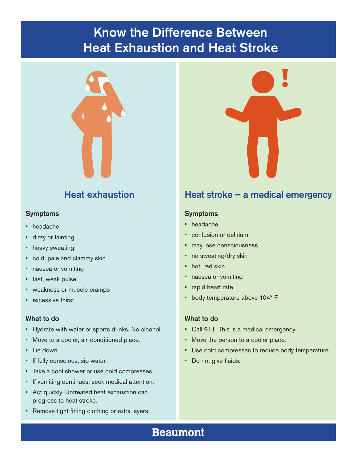# Know the Difference Between Heat Exhaustion and Heat Stroke



### Heat exhaustion

#### Symptoms

- headache
- dizzy or fainting
- heavy sweating
- cold, pale and clammy skin
- nausea or vomiting
- fast, weak pulse
- weakness or muscle cramps
- excessive thirst

#### What to do

- Hydrate with water or sports drinks. No alcohol.
- Move to a cooler, air-conditioned place.
- Lie down.
- If fully conscious, sip water.
- Take a cool shower or use cold compresses.
- If vomiting continues, seek medical attention.
- Act quickly. Untreated heat exhaustion can progress to heat stroke.
- Remove tight fitting clothing or extra layers.

### Heat stroke – a medical emergency

#### Symptoms

- headache
- confusion or delirium
- may lose consciousness
- no sweating/dry skin
- hot, red skin
- nausea or vomiting
- rapid heart rate
- body temperature above 104° F

#### What to do

- Call 911. This is a medical emergency.
- Move the person to a cooler place.
- Use cold compresses to reduce body temperature.
- Do not give fluids.

### **Beaumont**